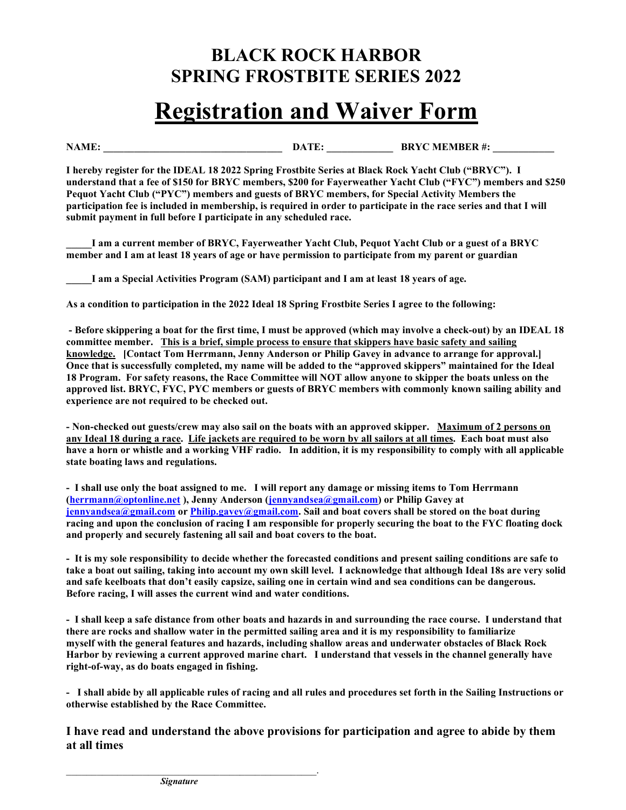## BLACK ROCK HARBOR SPRING FROSTBITE SERIES 2022

## Registration and Waiver Form

NAME: \_\_\_\_\_\_\_\_\_\_\_\_\_\_\_\_\_\_\_\_\_\_\_\_\_\_\_\_\_\_\_\_\_\_\_ DATE: \_\_\_\_\_\_\_\_\_\_\_\_\_ BRYC MEMBER #: \_\_\_\_\_\_\_\_\_\_\_\_

I hereby register for the IDEAL 18 2022 Spring Frostbite Series at Black Rock Yacht Club ("BRYC"). I understand that a fee of \$150 for BRYC members, \$200 for Fayerweather Yacht Club ("FYC") members and \$250 Pequot Yacht Club ("PYC") members and guests of BRYC members, for Special Activity Members the participation fee is included in membership, is required in order to participate in the race series and that I will submit payment in full before I participate in any scheduled race.

\_\_\_\_\_I am a current member of BRYC, Fayerweather Yacht Club, Pequot Yacht Club or a guest of a BRYC member and I am at least 18 years of age or have permission to participate from my parent or guardian

\_\_\_\_\_I am a Special Activities Program (SAM) participant and I am at least 18 years of age.

As a condition to participation in the 2022 Ideal 18 Spring Frostbite Series I agree to the following:

 - Before skippering a boat for the first time, I must be approved (which may involve a check-out) by an IDEAL 18 committee member. This is a brief, simple process to ensure that skippers have basic safety and sailing knowledge. [Contact Tom Herrmann, Jenny Anderson or Philip Gavey in advance to arrange for approval.] Once that is successfully completed, my name will be added to the "approved skippers" maintained for the Ideal 18 Program. For safety reasons, the Race Committee will NOT allow anyone to skipper the boats unless on the approved list. BRYC, FYC, PYC members or guests of BRYC members with commonly known sailing ability and experience are not required to be checked out.

- Non-checked out guests/crew may also sail on the boats with an approved skipper. Maximum of 2 persons on any Ideal 18 during a race. Life jackets are required to be worn by all sailors at all times. Each boat must also have a horn or whistle and a working VHF radio. In addition, it is my responsibility to comply with all applicable state boating laws and regulations.

- I shall use only the boat assigned to me. I will report any damage or missing items to Tom Herrmann (herrmann@optonline.net ), Jenny Anderson (jennyandsea@gmail.com) or Philip Gavey at jennyandsea@gmail.com or Philip.gavey@gmail.com. Sail and boat covers shall be stored on the boat during racing and upon the conclusion of racing I am responsible for properly securing the boat to the FYC floating dock and properly and securely fastening all sail and boat covers to the boat.

- It is my sole responsibility to decide whether the forecasted conditions and present sailing conditions are safe to take a boat out sailing, taking into account my own skill level. I acknowledge that although Ideal 18s are very solid and safe keelboats that don't easily capsize, sailing one in certain wind and sea conditions can be dangerous. Before racing, I will asses the current wind and water conditions.

- I shall keep a safe distance from other boats and hazards in and surrounding the race course. I understand that there are rocks and shallow water in the permitted sailing area and it is my responsibility to familiarize myself with the general features and hazards, including shallow areas and underwater obstacles of Black Rock Harbor by reviewing a current approved marine chart. I understand that vessels in the channel generally have right-of-way, as do boats engaged in fishing.

- I shall abide by all applicable rules of racing and all rules and procedures set forth in the Sailing Instructions or otherwise established by the Race Committee.

I have read and understand the above provisions for participation and agree to abide by them at all times

 $\mathcal{L}_\text{max} = \mathcal{L}_\text{max} = \mathcal{L}_\text{max} = \mathcal{L}_\text{max} = \mathcal{L}_\text{max} = \mathcal{L}_\text{max} = \mathcal{L}_\text{max}$ **Signature**